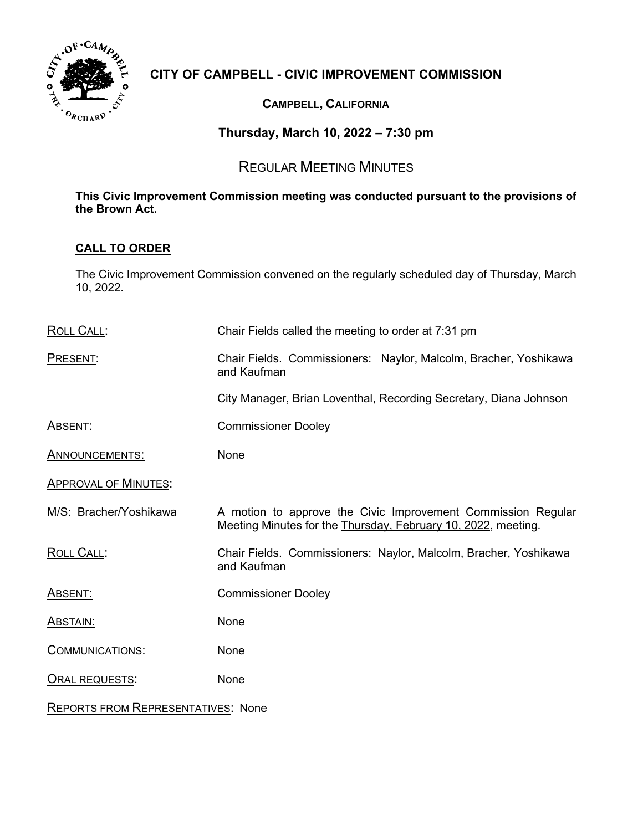

# **CITY OF CAMPBELL - CIVIC IMPROVEMENT COMMISSION**

## **CAMPBELL, CALIFORNIA**

## **Thursday, March 10, 2022 – 7:30 pm**

# REGULAR MEETING MINUTES

## **This Civic Improvement Commission meeting was conducted pursuant to the provisions of the Brown Act.**

## **CALL TO ORDER**

The Civic Improvement Commission convened on the regularly scheduled day of Thursday, March 10, 2022.

| <b>ROLL CALL:</b>           | Chair Fields called the meeting to order at 7:31 pm                                                                           |
|-----------------------------|-------------------------------------------------------------------------------------------------------------------------------|
| PRESENT:                    | Chair Fields. Commissioners: Naylor, Malcolm, Bracher, Yoshikawa<br>and Kaufman                                               |
|                             | City Manager, Brian Loventhal, Recording Secretary, Diana Johnson                                                             |
| <u>Absent:</u>              | <b>Commissioner Dooley</b>                                                                                                    |
| ANNOUNCEMENTS:              | None                                                                                                                          |
| <b>APPROVAL OF MINUTES:</b> |                                                                                                                               |
| M/S: Bracher/Yoshikawa      | A motion to approve the Civic Improvement Commission Regular<br>Meeting Minutes for the Thursday, February 10, 2022, meeting. |
| <u>ROLL CALL:</u>           | Chair Fields. Commissioners: Naylor, Malcolm, Bracher, Yoshikawa<br>and Kaufman                                               |
| <u>ABSENT:</u>              | <b>Commissioner Dooley</b>                                                                                                    |
| <b>ABSTAIN:</b>             | None                                                                                                                          |
| <b>COMMUNICATIONS:</b>      | None                                                                                                                          |
| ORAL REQUESTS:              | None                                                                                                                          |
|                             |                                                                                                                               |

REPORTS FROM REPRESENTATIVES: None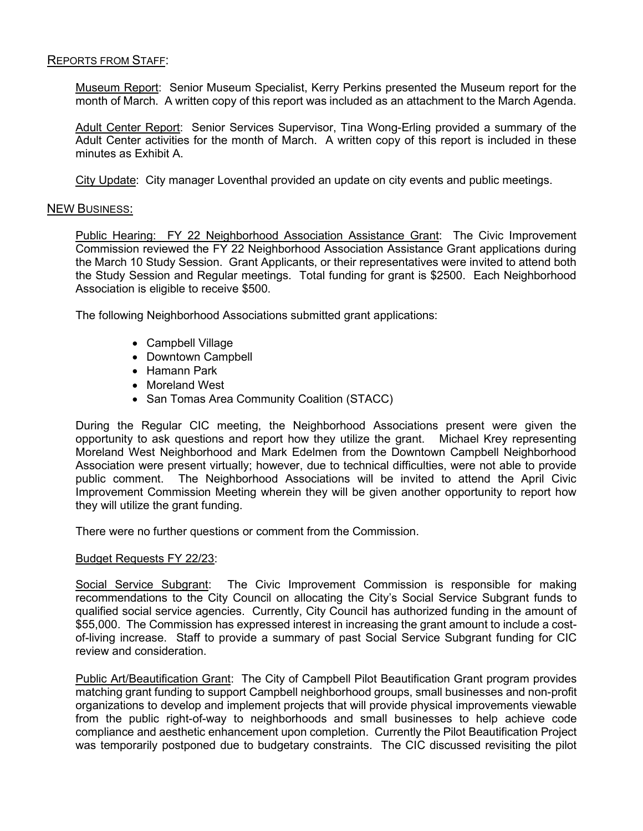### REPORTS FROM STAFF:

Museum Report: Senior Museum Specialist, Kerry Perkins presented the Museum report for the month of March. A written copy of this report was included as an attachment to the March Agenda.

Adult Center Report: Senior Services Supervisor, Tina Wong-Erling provided a summary of the Adult Center activities for the month of March. A written copy of this report is included in these minutes as Exhibit A.

City Update: City manager Loventhal provided an update on city events and public meetings.

#### NEW BUSINESS:

Public Hearing: FY 22 Neighborhood Association Assistance Grant: The Civic Improvement Commission reviewed the FY 22 Neighborhood Association Assistance Grant applications during the March 10 Study Session. Grant Applicants, or their representatives were invited to attend both the Study Session and Regular meetings. Total funding for grant is \$2500. Each Neighborhood Association is eligible to receive \$500.

The following Neighborhood Associations submitted grant applications:

- Campbell Village
- Downtown Campbell
- Hamann Park
- Moreland West
- San Tomas Area Community Coalition (STACC)

During the Regular CIC meeting, the Neighborhood Associations present were given the opportunity to ask questions and report how they utilize the grant. Michael Krey representing Moreland West Neighborhood and Mark Edelmen from the Downtown Campbell Neighborhood Association were present virtually; however, due to technical difficulties, were not able to provide public comment. The Neighborhood Associations will be invited to attend the April Civic Improvement Commission Meeting wherein they will be given another opportunity to report how they will utilize the grant funding.

There were no further questions or comment from the Commission.

#### Budget Requests FY 22/23:

Social Service Subgrant: The Civic Improvement Commission is responsible for making recommendations to the City Council on allocating the City's Social Service Subgrant funds to qualified social service agencies. Currently, City Council has authorized funding in the amount of \$55,000. The Commission has expressed interest in increasing the grant amount to include a costof-living increase. Staff to provide a summary of past Social Service Subgrant funding for CIC review and consideration.

Public Art/Beautification Grant: The City of Campbell Pilot Beautification Grant program provides matching grant funding to support Campbell neighborhood groups, small businesses and non-profit organizations to develop and implement projects that will provide physical improvements viewable from the public right-of-way to neighborhoods and small businesses to help achieve code compliance and aesthetic enhancement upon completion. Currently the Pilot Beautification Project was temporarily postponed due to budgetary constraints. The CIC discussed revisiting the pilot